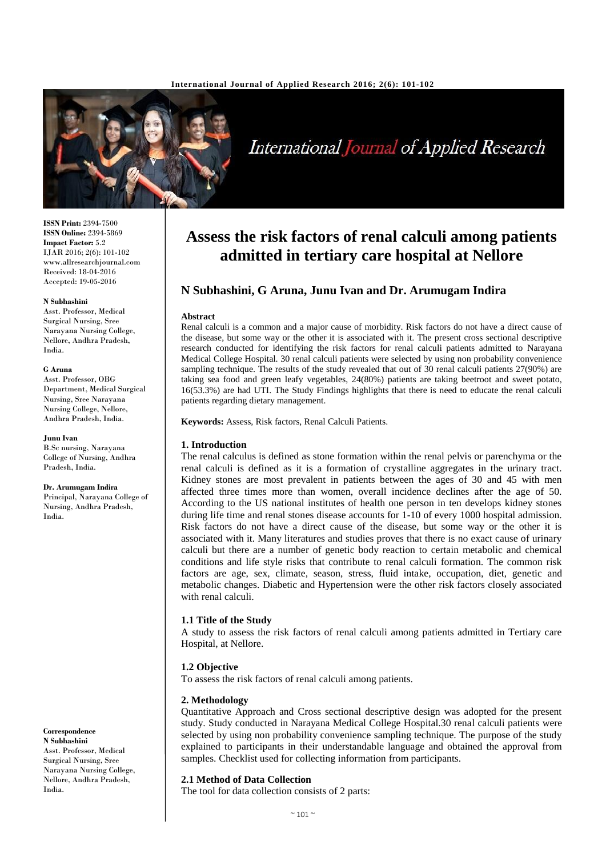

International Journal of Applied Research

**ISSN Print:** 2394-7500 **ISSN Online:** 2394-5869 **Impact Factor:** 5.2 IJAR 2016; 2(6): 101-102 www.allresearchjournal.com Received: 18-04-2016 Accepted: 19-05-2016

#### **N Subhashini**

Asst. Professor, Medical Surgical Nursing, Sree Narayana Nursing College, Nellore, Andhra Pradesh, India.

#### **G Aruna**

Asst. Professor, OBG Department, Medical Surgical Nursing, Sree Narayana Nursing College, Nellore, Andhra Pradesh, India.

#### **Junu Ivan**

B.Sc nursing, Narayana College of Nursing, Andhra Pradesh, India.

#### **Dr. Arumugam Indira**

Principal, Narayana College of Nursing, Andhra Pradesh, India.

**Correspondence**

**N Subhashini** Asst. Professor, Medical Surgical Nursing, Sree Narayana Nursing College, Nellore, Andhra Pradesh, India.

# **Assess the risk factors of renal calculi among patients admitted in tertiary care hospital at Nellore**

# **N Subhashini, G Aruna, Junu Ivan and Dr. Arumugam Indira**

#### **Abstract**

Renal calculi is a common and a major cause of morbidity. Risk factors do not have a direct cause of the disease, but some way or the other it is associated with it. The present cross sectional descriptive research conducted for identifying the risk factors for renal calculi patients admitted to Narayana Medical College Hospital. 30 renal calculi patients were selected by using non probability convenience sampling technique. The results of the study revealed that out of 30 renal calculi patients 27(90%) are taking sea food and green leafy vegetables, 24(80%) patients are taking beetroot and sweet potato, 16(53.3%) are had UTI. The Study Findings highlights that there is need to educate the renal calculi patients regarding dietary management.

**Keywords:** Assess, Risk factors, Renal Calculi Patients.

## **1. Introduction**

The renal calculus is defined as stone formation within the renal pelvis or parenchyma or the renal calculi is defined as it is a formation of crystalline aggregates in the urinary tract. Kidney stones are most prevalent in patients between the ages of 30 and 45 with men affected three times more than women, overall incidence declines after the age of 50. According to the US national institutes of health one person in ten develops kidney stones during life time and renal stones disease accounts for 1-10 of every 1000 hospital admission. Risk factors do not have a direct cause of the disease, but some way or the other it is associated with it. Many literatures and studies proves that there is no exact cause of urinary calculi but there are a number of genetic body reaction to certain metabolic and chemical conditions and life style risks that contribute to renal calculi formation. The common risk factors are age, sex, climate, season, stress, fluid intake, occupation, diet, genetic and metabolic changes. Diabetic and Hypertension were the other risk factors closely associated with renal calculi.

# **1.1 Title of the Study**

A study to assess the risk factors of renal calculi among patients admitted in Tertiary care Hospital, at Nellore.

## **1.2 Objective**

To assess the risk factors of renal calculi among patients.

## **2. Methodology**

Quantitative Approach and Cross sectional descriptive design was adopted for the present study. Study conducted in Narayana Medical College Hospital.30 renal calculi patients were selected by using non probability convenience sampling technique. The purpose of the study explained to participants in their understandable language and obtained the approval from samples. Checklist used for collecting information from participants.

## **2.1 Method of Data Collection**

The tool for data collection consists of 2 parts: